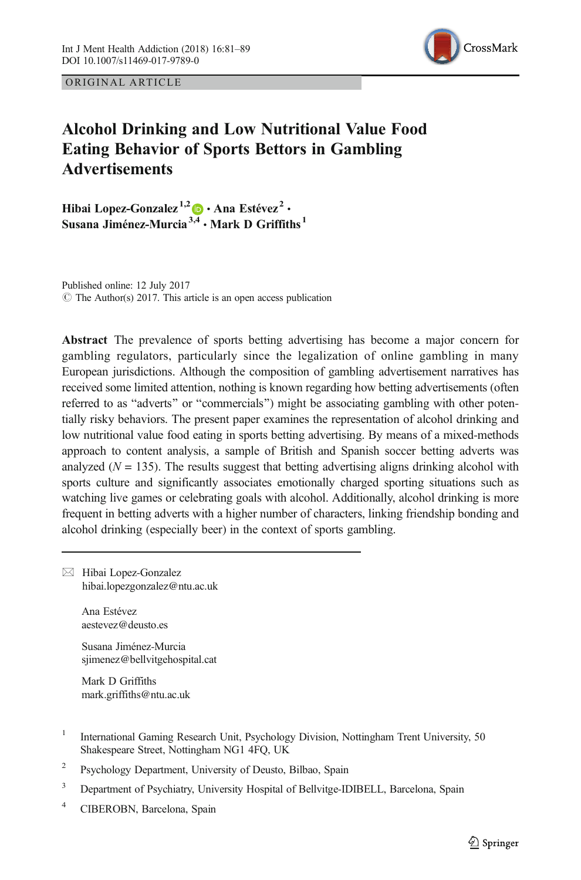

ORIGINAL ARTICLE

# Alcohol Drinking and Low Nutritional Value Food Eating Behavior of Sports Bettors in Gambling **Advertisements**

Hibai Lopez-Gonzalez<sup>1,2</sup>  $\bullet$  · Ana Estévez<sup>2</sup> · Susana Jiménez-Murcia<sup>3,4</sup> · Mark D Griffiths<sup>1</sup>

Published online: 12 July 2017  $\odot$  The Author(s) 2017. This article is an open access publication

Abstract The prevalence of sports betting advertising has become a major concern for gambling regulators, particularly since the legalization of online gambling in many European jurisdictions. Although the composition of gambling advertisement narratives has received some limited attention, nothing is known regarding how betting advertisements (often referred to as "adverts" or "commercials") might be associating gambling with other potentially risky behaviors. The present paper examines the representation of alcohol drinking and low nutritional value food eating in sports betting advertising. By means of a mixed-methods approach to content analysis, a sample of British and Spanish soccer betting adverts was analyzed ( $N = 135$ ). The results suggest that betting advertising aligns drinking alcohol with sports culture and significantly associates emotionally charged sporting situations such as watching live games or celebrating goals with alcohol. Additionally, alcohol drinking is more frequent in betting adverts with a higher number of characters, linking friendship bonding and alcohol drinking (especially beer) in the context of sports gambling.

 $\boxtimes$  Hibai Lopez-Gonzalez [hibai.lopezgonzalez@ntu.ac.uk](mailto:hibai.lopezgonzalez@ntu.ac.uk)

> Ana Estévez aestevez@deusto.es

Susana Jiménez-Murcia sjimenez@bellvitgehospital.cat

Mark D Griffiths mark.griffiths@ntu.ac.uk

- <sup>1</sup> International Gaming Research Unit, Psychology Division, Nottingham Trent University, 50 Shakespeare Street, Nottingham NG1 4FQ, UK
- <sup>2</sup> Psychology Department, University of Deusto, Bilbao, Spain
- <sup>3</sup> Department of Psychiatry, University Hospital of Bellvitge-IDIBELL, Barcelona, Spain
- <sup>4</sup> CIBEROBN, Barcelona, Spain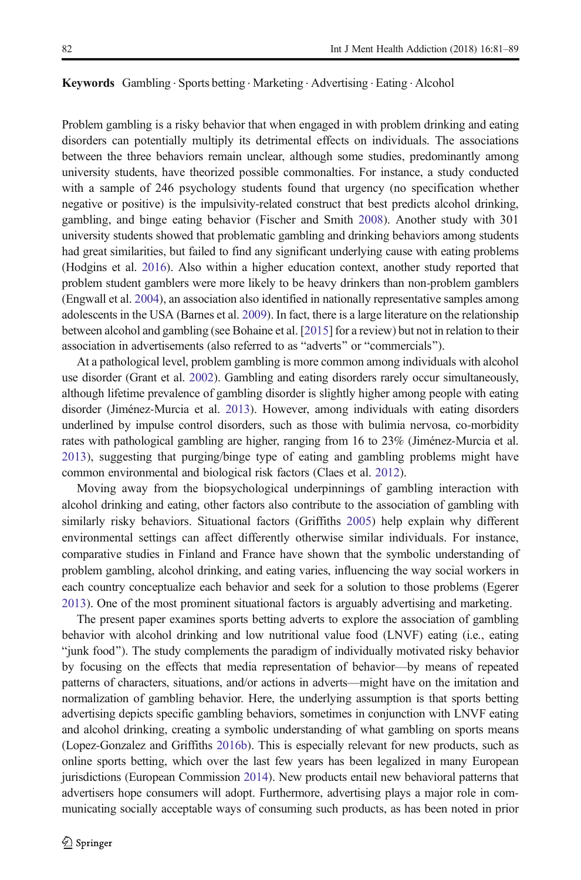#### Keywords Gambling · Sports betting · Marketing · Advertising · Eating · Alcohol

Problem gambling is a risky behavior that when engaged in with problem drinking and eating disorders can potentially multiply its detrimental effects on individuals. The associations between the three behaviors remain unclear, although some studies, predominantly among university students, have theorized possible commonalties. For instance, a study conducted with a sample of 246 psychology students found that urgency (no specification whether negative or positive) is the impulsivity-related construct that best predicts alcohol drinking, gambling, and binge eating behavior (Fischer and Smith [2008](#page-7-0)). Another study with 301 university students showed that problematic gambling and drinking behaviors among students had great similarities, but failed to find any significant underlying cause with eating problems (Hodgins et al. [2016\)](#page-8-0). Also within a higher education context, another study reported that problem student gamblers were more likely to be heavy drinkers than non-problem gamblers (Engwall et al. [2004](#page-7-0)), an association also identified in nationally representative samples among adolescents in the USA (Barnes et al. [2009\)](#page-7-0). In fact, there is a large literature on the relationship between alcohol and gambling (see Bohaine et al. [\[2015\]](#page-7-0) for a review) but not in relation to their association in advertisements (also referred to as "adverts" or "commercials").

At a pathological level, problem gambling is more common among individuals with alcohol use disorder (Grant et al. [2002\)](#page-7-0). Gambling and eating disorders rarely occur simultaneously, although lifetime prevalence of gambling disorder is slightly higher among people with eating disorder (Jiménez-Murcia et al. [2013](#page-8-0)). However, among individuals with eating disorders underlined by impulse control disorders, such as those with bulimia nervosa, co-morbidity rates with pathological gambling are higher, ranging from 16 to 23% (Jiménez-Murcia et al. [2013\)](#page-8-0), suggesting that purging/binge type of eating and gambling problems might have common environmental and biological risk factors (Claes et al. [2012](#page-7-0)).

Moving away from the biopsychological underpinnings of gambling interaction with alcohol drinking and eating, other factors also contribute to the association of gambling with similarly risky behaviors. Situational factors (Griffiths [2005](#page-8-0)) help explain why different environmental settings can affect differently otherwise similar individuals. For instance, comparative studies in Finland and France have shown that the symbolic understanding of problem gambling, alcohol drinking, and eating varies, influencing the way social workers in each country conceptualize each behavior and seek for a solution to those problems (Egerer [2013](#page-7-0)). One of the most prominent situational factors is arguably advertising and marketing.

The present paper examines sports betting adverts to explore the association of gambling behavior with alcohol drinking and low nutritional value food (LNVF) eating (i.e., eating Bjunk food^). The study complements the paradigm of individually motivated risky behavior by focusing on the effects that media representation of behavior—by means of repeated patterns of characters, situations, and/or actions in adverts—might have on the imitation and normalization of gambling behavior. Here, the underlying assumption is that sports betting advertising depicts specific gambling behaviors, sometimes in conjunction with LNVF eating and alcohol drinking, creating a symbolic understanding of what gambling on sports means (Lopez-Gonzalez and Griffiths [2016b](#page-8-0)). This is especially relevant for new products, such as online sports betting, which over the last few years has been legalized in many European jurisdictions (European Commission [2014\)](#page-7-0). New products entail new behavioral patterns that advertisers hope consumers will adopt. Furthermore, advertising plays a major role in communicating socially acceptable ways of consuming such products, as has been noted in prior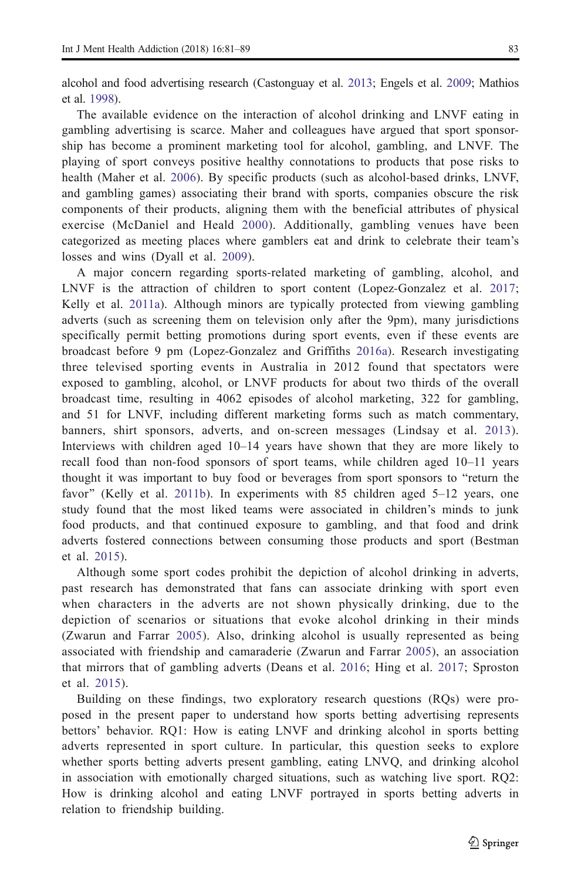alcohol and food advertising research (Castonguay et al. [2013;](#page-7-0) Engels et al. [2009;](#page-7-0) Mathios et al. [1998](#page-8-0)).

The available evidence on the interaction of alcohol drinking and LNVF eating in gambling advertising is scarce. Maher and colleagues have argued that sport sponsorship has become a prominent marketing tool for alcohol, gambling, and LNVF. The playing of sport conveys positive healthy connotations to products that pose risks to health (Maher et al. [2006](#page-8-0)). By specific products (such as alcohol-based drinks, LNVF, and gambling games) associating their brand with sports, companies obscure the risk components of their products, aligning them with the beneficial attributes of physical exercise (McDaniel and Heald [2000](#page-8-0)). Additionally, gambling venues have been categorized as meeting places where gamblers eat and drink to celebrate their team's losses and wins (Dyall et al. [2009](#page-7-0)).

A major concern regarding sports-related marketing of gambling, alcohol, and LNVF is the attraction of children to sport content (Lopez-Gonzalez et al. [2017](#page-8-0); Kelly et al. [2011a](#page-8-0)). Although minors are typically protected from viewing gambling adverts (such as screening them on television only after the 9pm), many jurisdictions specifically permit betting promotions during sport events, even if these events are broadcast before 9 pm (Lopez-Gonzalez and Griffiths [2016a](#page-8-0)). Research investigating three televised sporting events in Australia in 2012 found that spectators were exposed to gambling, alcohol, or LNVF products for about two thirds of the overall broadcast time, resulting in 4062 episodes of alcohol marketing, 322 for gambling, and 51 for LNVF, including different marketing forms such as match commentary, banners, shirt sponsors, adverts, and on-screen messages (Lindsay et al. [2013\)](#page-8-0). Interviews with children aged 10–14 years have shown that they are more likely to recall food than non-food sponsors of sport teams, while children aged 10–11 years thought it was important to buy food or beverages from sport sponsors to "return the favor" (Kelly et al. [2011b\)](#page-8-0). In experiments with 85 children aged  $5-12$  years, one study found that the most liked teams were associated in children's minds to junk food products, and that continued exposure to gambling, and that food and drink adverts fostered connections between consuming those products and sport (Bestman et al. [2015\)](#page-7-0).

Although some sport codes prohibit the depiction of alcohol drinking in adverts, past research has demonstrated that fans can associate drinking with sport even when characters in the adverts are not shown physically drinking, due to the depiction of scenarios or situations that evoke alcohol drinking in their minds (Zwarun and Farrar [2005](#page-8-0)). Also, drinking alcohol is usually represented as being associated with friendship and camaraderie (Zwarun and Farrar [2005\)](#page-8-0), an association that mirrors that of gambling adverts (Deans et al. [2016](#page-7-0); Hing et al. [2017](#page-8-0); Sproston et al. [2015\)](#page-8-0).

Building on these findings, two exploratory research questions (RQs) were proposed in the present paper to understand how sports betting advertising represents bettors' behavior. RQ1: How is eating LNVF and drinking alcohol in sports betting adverts represented in sport culture. In particular, this question seeks to explore whether sports betting adverts present gambling, eating LNVQ, and drinking alcohol in association with emotionally charged situations, such as watching live sport. RQ2: How is drinking alcohol and eating LNVF portrayed in sports betting adverts in relation to friendship building.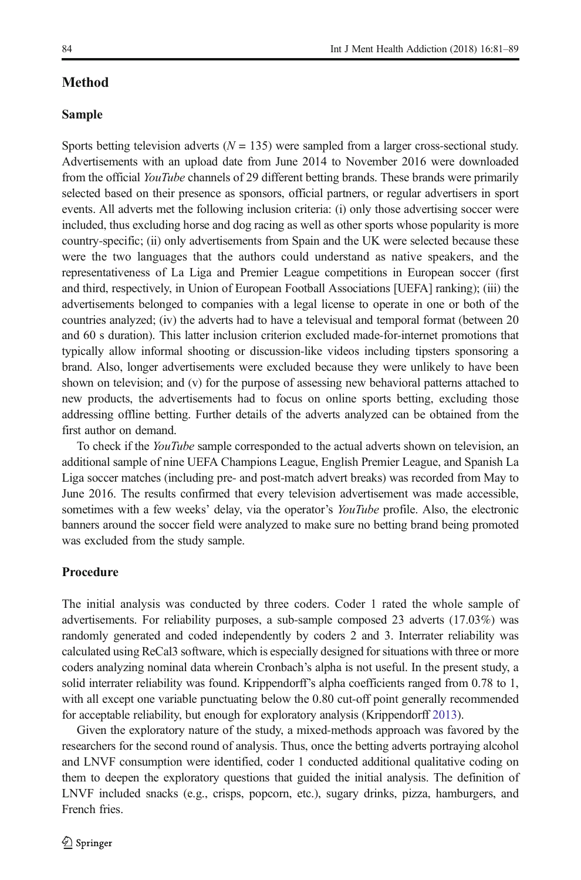# Method

### Sample

Sports betting television adverts ( $N = 135$ ) were sampled from a larger cross-sectional study. Advertisements with an upload date from June 2014 to November 2016 were downloaded from the official YouTube channels of 29 different betting brands. These brands were primarily selected based on their presence as sponsors, official partners, or regular advertisers in sport events. All adverts met the following inclusion criteria: (i) only those advertising soccer were included, thus excluding horse and dog racing as well as other sports whose popularity is more country-specific; (ii) only advertisements from Spain and the UK were selected because these were the two languages that the authors could understand as native speakers, and the representativeness of La Liga and Premier League competitions in European soccer (first and third, respectively, in Union of European Football Associations [UEFA] ranking); (iii) the advertisements belonged to companies with a legal license to operate in one or both of the countries analyzed; (iv) the adverts had to have a televisual and temporal format (between 20 and 60 s duration). This latter inclusion criterion excluded made-for-internet promotions that typically allow informal shooting or discussion-like videos including tipsters sponsoring a brand. Also, longer advertisements were excluded because they were unlikely to have been shown on television; and (v) for the purpose of assessing new behavioral patterns attached to new products, the advertisements had to focus on online sports betting, excluding those addressing offline betting. Further details of the adverts analyzed can be obtained from the first author on demand.

To check if the *YouTube* sample corresponded to the actual adverts shown on television, an additional sample of nine UEFA Champions League, English Premier League, and Spanish La Liga soccer matches (including pre- and post-match advert breaks) was recorded from May to June 2016. The results confirmed that every television advertisement was made accessible, sometimes with a few weeks' delay, via the operator's *YouTube* profile. Also, the electronic banners around the soccer field were analyzed to make sure no betting brand being promoted was excluded from the study sample.

#### Procedure

The initial analysis was conducted by three coders. Coder 1 rated the whole sample of advertisements. For reliability purposes, a sub-sample composed 23 adverts (17.03%) was randomly generated and coded independently by coders 2 and 3. Interrater reliability was calculated using ReCal3 software, which is especially designed for situations with three or more coders analyzing nominal data wherein Cronbach's alpha is not useful. In the present study, a solid interrater reliability was found. Krippendorff's alpha coefficients ranged from 0.78 to 1, with all except one variable punctuating below the 0.80 cut-off point generally recommended for acceptable reliability, but enough for exploratory analysis (Krippendorff [2013\)](#page-8-0).

Given the exploratory nature of the study, a mixed-methods approach was favored by the researchers for the second round of analysis. Thus, once the betting adverts portraying alcohol and LNVF consumption were identified, coder 1 conducted additional qualitative coding on them to deepen the exploratory questions that guided the initial analysis. The definition of LNVF included snacks (e.g., crisps, popcorn, etc.), sugary drinks, pizza, hamburgers, and French fries.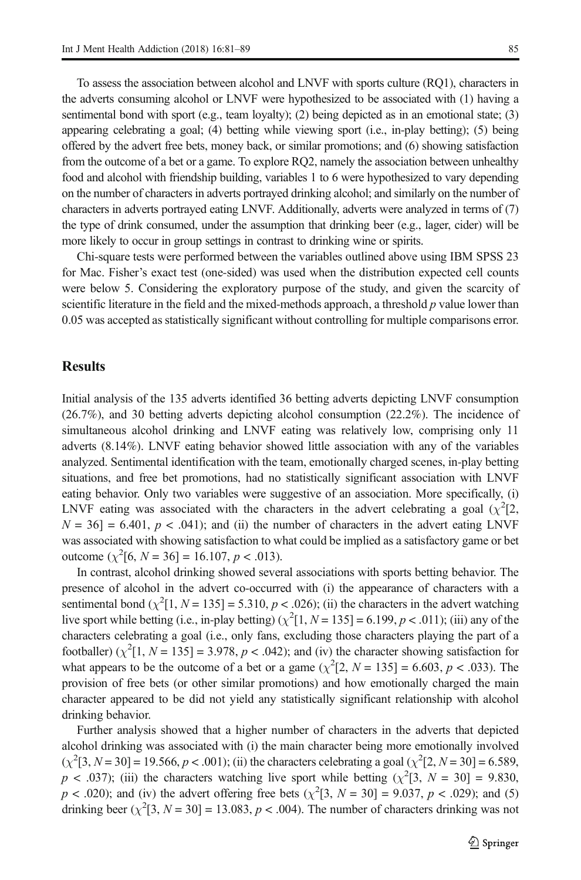To assess the association between alcohol and LNVF with sports culture (RQ1), characters in the adverts consuming alcohol or LNVF were hypothesized to be associated with (1) having a sentimental bond with sport (e.g., team loyalty); (2) being depicted as in an emotional state; (3) appearing celebrating a goal; (4) betting while viewing sport (i.e., in-play betting); (5) being offered by the advert free bets, money back, or similar promotions; and (6) showing satisfaction from the outcome of a bet or a game. To explore RQ2, namely the association between unhealthy food and alcohol with friendship building, variables 1 to 6 were hypothesized to vary depending on the number of characters in adverts portrayed drinking alcohol; and similarly on the number of characters in adverts portrayed eating LNVF. Additionally, adverts were analyzed in terms of (7) the type of drink consumed, under the assumption that drinking beer (e.g., lager, cider) will be more likely to occur in group settings in contrast to drinking wine or spirits.

Chi-square tests were performed between the variables outlined above using IBM SPSS 23 for Mac. Fisher's exact test (one-sided) was used when the distribution expected cell counts were below 5. Considering the exploratory purpose of the study, and given the scarcity of scientific literature in the field and the mixed-methods approach, a threshold  $p$  value lower than 0.05 was accepted as statistically significant without controlling for multiple comparisons error.

### **Results**

Initial analysis of the 135 adverts identified 36 betting adverts depicting LNVF consumption (26.7%), and 30 betting adverts depicting alcohol consumption (22.2%). The incidence of simultaneous alcohol drinking and LNVF eating was relatively low, comprising only 11 adverts (8.14%). LNVF eating behavior showed little association with any of the variables analyzed. Sentimental identification with the team, emotionally charged scenes, in-play betting situations, and free bet promotions, had no statistically significant association with LNVF eating behavior. Only two variables were suggestive of an association. More specifically, (i) LNVF eating was associated with the characters in the advert celebrating a goal  $(\chi^2[2, \chi])$  $N = 36$ ] = 6.401,  $p < .041$ ); and (ii) the number of characters in the advert eating LNVF was associated with showing satisfaction to what could be implied as a satisfactory game or bet outcome  $(\chi^2[6, N = 36] = 16.107, p < .013)$ .

In contrast, alcohol drinking showed several associations with sports betting behavior. The presence of alcohol in the advert co-occurred with (i) the appearance of characters with a sentimental bond  $(\chi^2[1, N = 135] = 5.310, p < .026)$ ; (ii) the characters in the advert watching live sport while betting (i.e., in-play betting)  $(\chi^2[1, N = 135] = 6.199, p < .011)$ ; (iii) any of the characters celebrating a goal (i.e., only fans, excluding those characters playing the part of a footballer)  $(\chi^2[1, N = 135] = 3.978, p < .042)$ ; and (iv) the character showing satisfaction for what appears to be the outcome of a bet or a game  $(\chi^2[2, N = 135] = 6.603, p < .033)$ . The provision of free bets (or other similar promotions) and how emotionally charged the main character appeared to be did not yield any statistically significant relationship with alcohol drinking behavior.

Further analysis showed that a higher number of characters in the adverts that depicted alcohol drinking was associated with (i) the main character being more emotionally involved  $(\chi^2[3, N=30] = 19.566, p < .001)$ ; (ii) the characters celebrating a goal  $(\chi^2[2, N=30] = 6.589,$  $p < .037$ ); (iii) the characters watching live sport while betting ( $\chi^2[3, N = 30] = 9.830$ ,  $p < .020$ ); and (iv) the advert offering free bets ( $\chi^2[3, N = 30] = 9.037, p < .029$ ); and (5) drinking beer  $(\chi^2[3, N = 30] = 13.083, p < .004)$ . The number of characters drinking was not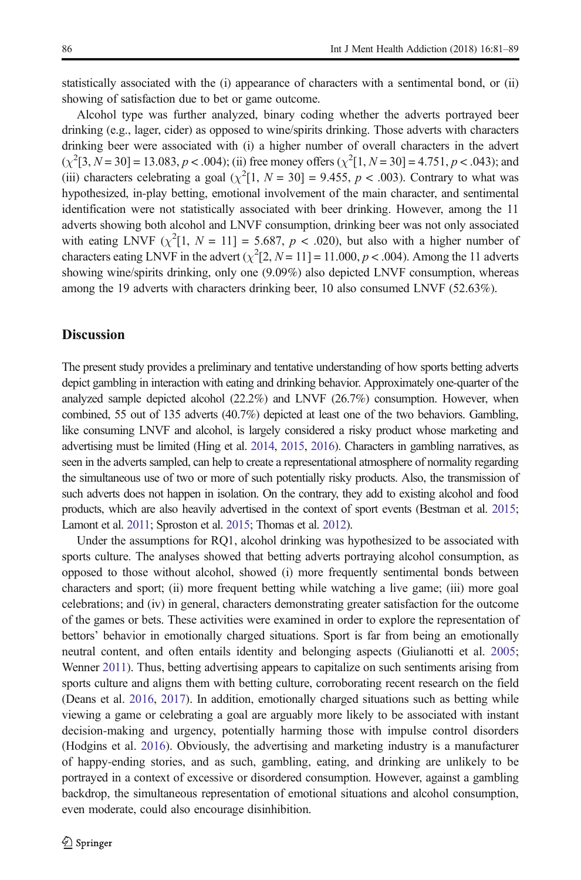statistically associated with the (i) appearance of characters with a sentimental bond, or (ii) showing of satisfaction due to bet or game outcome.

Alcohol type was further analyzed, binary coding whether the adverts portrayed beer drinking (e.g., lager, cider) as opposed to wine/spirits drinking. Those adverts with characters drinking beer were associated with (i) a higher number of overall characters in the advert  $(\chi^2[3, N = 30] = 13.083, p < .004)$ ; (ii) free money offers  $(\chi^2[1, N = 30] = 4.751, p < .043)$ ; and (iii) characters celebrating a goal  $(\chi^2[1, N = 30] = 9.455, p < .003)$ . Contrary to what was hypothesized, in-play betting, emotional involvement of the main character, and sentimental identification were not statistically associated with beer drinking. However, among the 11 adverts showing both alcohol and LNVF consumption, drinking beer was not only associated with eating LNVF  $(\chi^2[1, N = 11] = 5.687, p < .020)$ , but also with a higher number of characters eating LNVF in the advert  $(\chi^2[2, N=11] = 11.000, p < .004)$ . Among the 11 adverts showing wine/spirits drinking, only one (9.09%) also depicted LNVF consumption, whereas among the 19 adverts with characters drinking beer, 10 also consumed LNVF (52.63%).

# **Discussion**

The present study provides a preliminary and tentative understanding of how sports betting adverts depict gambling in interaction with eating and drinking behavior. Approximately one-quarter of the analyzed sample depicted alcohol (22.2%) and LNVF (26.7%) consumption. However, when combined, 55 out of 135 adverts (40.7%) depicted at least one of the two behaviors. Gambling, like consuming LNVF and alcohol, is largely considered a risky product whose marketing and advertising must be limited (Hing et al. [2014,](#page-8-0) [2015](#page-8-0), [2016](#page-8-0)). Characters in gambling narratives, as seen in the adverts sampled, can help to create a representational atmosphere of normality regarding the simultaneous use of two or more of such potentially risky products. Also, the transmission of such adverts does not happen in isolation. On the contrary, they add to existing alcohol and food products, which are also heavily advertised in the context of sport events (Bestman et al. [2015](#page-7-0); Lamont et al. [2011](#page-8-0); Sproston et al. [2015](#page-8-0); Thomas et al. [2012\)](#page-8-0).

Under the assumptions for RQ1, alcohol drinking was hypothesized to be associated with sports culture. The analyses showed that betting adverts portraying alcohol consumption, as opposed to those without alcohol, showed (i) more frequently sentimental bonds between characters and sport; (ii) more frequent betting while watching a live game; (iii) more goal celebrations; and (iv) in general, characters demonstrating greater satisfaction for the outcome of the games or bets. These activities were examined in order to explore the representation of bettors' behavior in emotionally charged situations. Sport is far from being an emotionally neutral content, and often entails identity and belonging aspects (Giulianotti et al. [2005](#page-7-0); Wenner [2011\)](#page-8-0). Thus, betting advertising appears to capitalize on such sentiments arising from sports culture and aligns them with betting culture, corroborating recent research on the field (Deans et al. [2016](#page-7-0), [2017](#page-7-0)). In addition, emotionally charged situations such as betting while viewing a game or celebrating a goal are arguably more likely to be associated with instant decision-making and urgency, potentially harming those with impulse control disorders (Hodgins et al. [2016](#page-8-0)). Obviously, the advertising and marketing industry is a manufacturer of happy-ending stories, and as such, gambling, eating, and drinking are unlikely to be portrayed in a context of excessive or disordered consumption. However, against a gambling backdrop, the simultaneous representation of emotional situations and alcohol consumption, even moderate, could also encourage disinhibition.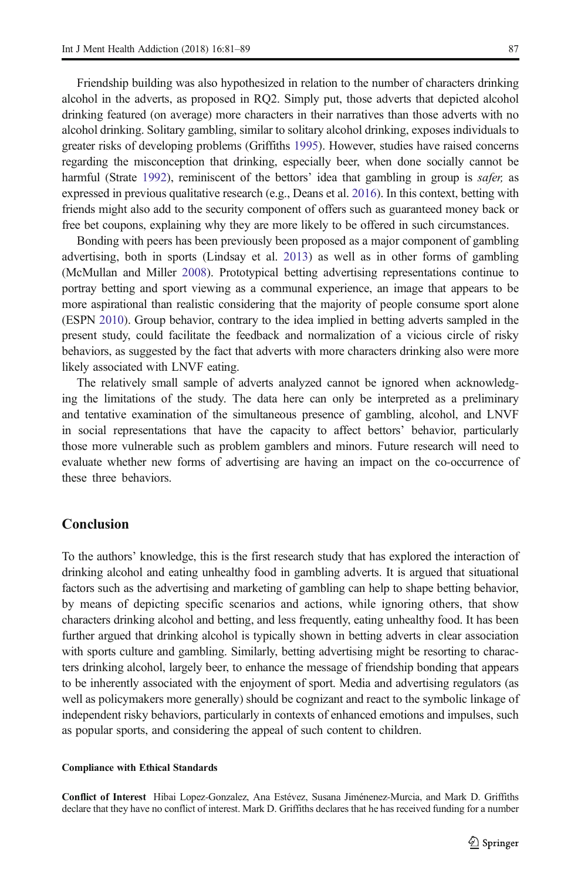Friendship building was also hypothesized in relation to the number of characters drinking alcohol in the adverts, as proposed in RQ2. Simply put, those adverts that depicted alcohol drinking featured (on average) more characters in their narratives than those adverts with no alcohol drinking. Solitary gambling, similar to solitary alcohol drinking, exposes individuals to greater risks of developing problems (Griffiths [1995\)](#page-7-0). However, studies have raised concerns regarding the misconception that drinking, especially beer, when done socially cannot be harmful (Strate [1992](#page-8-0)), reminiscent of the bettors' idea that gambling in group is *safer*; as expressed in previous qualitative research (e.g., Deans et al. [2016\)](#page-7-0). In this context, betting with friends might also add to the security component of offers such as guaranteed money back or free bet coupons, explaining why they are more likely to be offered in such circumstances.

Bonding with peers has been previously been proposed as a major component of gambling advertising, both in sports (Lindsay et al. [2013](#page-8-0)) as well as in other forms of gambling (McMullan and Miller [2008](#page-8-0)). Prototypical betting advertising representations continue to portray betting and sport viewing as a communal experience, an image that appears to be more aspirational than realistic considering that the majority of people consume sport alone (ESPN [2010\)](#page-7-0). Group behavior, contrary to the idea implied in betting adverts sampled in the present study, could facilitate the feedback and normalization of a vicious circle of risky behaviors, as suggested by the fact that adverts with more characters drinking also were more likely associated with LNVF eating.

The relatively small sample of adverts analyzed cannot be ignored when acknowledging the limitations of the study. The data here can only be interpreted as a preliminary and tentative examination of the simultaneous presence of gambling, alcohol, and LNVF in social representations that have the capacity to affect bettors' behavior, particularly those more vulnerable such as problem gamblers and minors. Future research will need to evaluate whether new forms of advertising are having an impact on the co-occurrence of these three behaviors.

# Conclusion

To the authors' knowledge, this is the first research study that has explored the interaction of drinking alcohol and eating unhealthy food in gambling adverts. It is argued that situational factors such as the advertising and marketing of gambling can help to shape betting behavior, by means of depicting specific scenarios and actions, while ignoring others, that show characters drinking alcohol and betting, and less frequently, eating unhealthy food. It has been further argued that drinking alcohol is typically shown in betting adverts in clear association with sports culture and gambling. Similarly, betting advertising might be resorting to characters drinking alcohol, largely beer, to enhance the message of friendship bonding that appears to be inherently associated with the enjoyment of sport. Media and advertising regulators (as well as policymakers more generally) should be cognizant and react to the symbolic linkage of independent risky behaviors, particularly in contexts of enhanced emotions and impulses, such as popular sports, and considering the appeal of such content to children.

#### Compliance with Ethical Standards

Conflict of Interest Hibai Lopez-Gonzalez, Ana Estévez, Susana Jiménenez-Murcia, and Mark D. Griffiths declare that they have no conflict of interest. Mark D. Griffiths declares that he has received funding for a number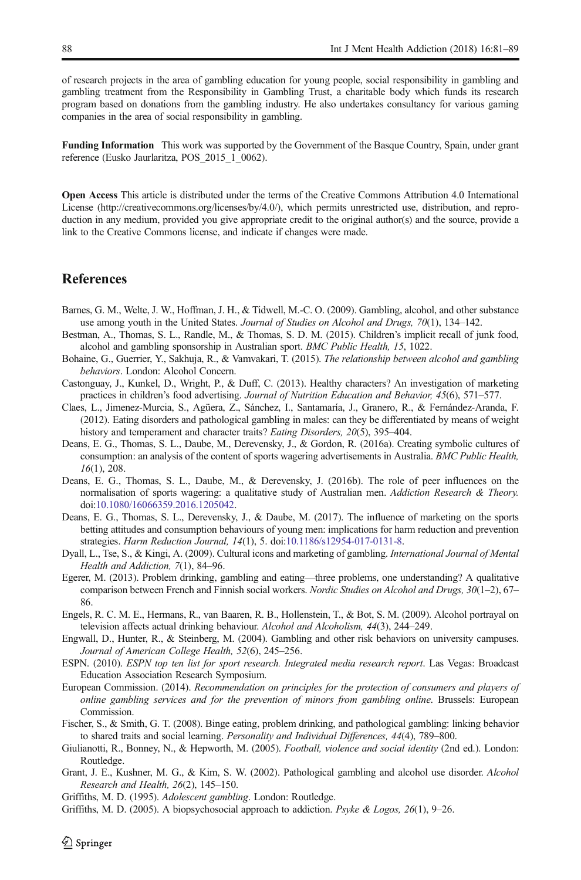<span id="page-7-0"></span>of research projects in the area of gambling education for young people, social responsibility in gambling and gambling treatment from the Responsibility in Gambling Trust, a charitable body which funds its research program based on donations from the gambling industry. He also undertakes consultancy for various gaming companies in the area of social responsibility in gambling.

Funding Information This work was supported by the Government of the Basque Country, Spain, under grant reference (Eusko Jaurlaritza, POS\_2015\_1\_0062).

Open Access This article is distributed under the terms of the Creative Commons Attribution 4.0 International License (http://creativecommons.org/licenses/by/4.0/), which permits unrestricted use, distribution, and reproduction in any medium, provided you give appropriate credit to the original author(s) and the source, provide a link to the Creative Commons license, and indicate if changes were made.

### **References**

- Barnes, G. M., Welte, J. W., Hoffman, J. H., & Tidwell, M.-C. O. (2009). Gambling, alcohol, and other substance use among youth in the United States. Journal of Studies on Alcohol and Drugs, 70(1), 134–142.
- Bestman, A., Thomas, S. L., Randle, M., & Thomas, S. D. M. (2015). Children's implicit recall of junk food, alcohol and gambling sponsorship in Australian sport. BMC Public Health, 15, 1022.
- Bohaine, G., Guerrier, Y., Sakhuja, R., & Vamvakari, T. (2015). The relationship between alcohol and gambling behaviors. London: Alcohol Concern.
- Castonguay, J., Kunkel, D., Wright, P., & Duff, C. (2013). Healthy characters? An investigation of marketing practices in children's food advertising. Journal of Nutrition Education and Behavior, 45(6), 571–577.
- Claes, L., Jimenez-Murcia, S., Agüera, Z., Sánchez, I., Santamaría, J., Granero, R., & Fernández-Aranda, F. (2012). Eating disorders and pathological gambling in males: can they be differentiated by means of weight history and temperament and character traits? Eating Disorders, 20(5), 395–404.
- Deans, E. G., Thomas, S. L., Daube, M., Derevensky, J., & Gordon, R. (2016a). Creating symbolic cultures of consumption: an analysis of the content of sports wagering advertisements in Australia. BMC Public Health, 16(1), 208.
- Deans, E. G., Thomas, S. L., Daube, M., & Derevensky, J. (2016b). The role of peer influences on the normalisation of sports wagering: a qualitative study of Australian men. Addiction Research & Theory. doi:10.1080/16066359.2016.1205042.
- Deans, [E. G., Thomas, S. L., Derevensky](http://dx.doi.org/10.1080/16066359.2016.1205042), J., & Daube, M. (2017). The influence of marketing on the sports betting attitudes and consumption behaviours of young men: implications for harm reduction and prevention strategies. Harm Reduction Journal, 14(1), 5. doi:10.1186/s12954-017-0131-8.
- Dyall, L., Tse, S., & Kingi, A. (2009). Cultural icons a[nd marketing of gambling.](http://dx.doi.org/10.1186/s12954-017-0131-8) International Journal of Mental Health and Addiction, 7(1), 84–96.
- Egerer, M. (2013). Problem drinking, gambling and eating—three problems, one understanding? A qualitative comparison between French and Finnish social workers. Nordic Studies on Alcohol and Drugs, 30(1–2), 67– 86.
- Engels, R. C. M. E., Hermans, R., van Baaren, R. B., Hollenstein, T., & Bot, S. M. (2009). Alcohol portrayal on television affects actual drinking behaviour. Alcohol and Alcoholism, 44(3), 244–249.
- Engwall, D., Hunter, R., & Steinberg, M. (2004). Gambling and other risk behaviors on university campuses. Journal of American College Health, 52(6), 245–256.
- ESPN. (2010). ESPN top ten list for sport research. Integrated media research report. Las Vegas: Broadcast Education Association Research Symposium.
- European Commission. (2014). Recommendation on principles for the protection of consumers and players of online gambling services and for the prevention of minors from gambling online. Brussels: European Commission.
- Fischer, S., & Smith, G. T. (2008). Binge eating, problem drinking, and pathological gambling: linking behavior to shared traits and social learning. Personality and Individual Differences, 44(4), 789–800.
- Giulianotti, R., Bonney, N., & Hepworth, M. (2005). Football, violence and social identity (2nd ed.). London: Routledge.
- Grant, J. E., Kushner, M. G., & Kim, S. W. (2002). Pathological gambling and alcohol use disorder. Alcohol Research and Health, 26(2), 145–150.
- Griffiths, M. D. (1995). Adolescent gambling. London: Routledge.
- Griffiths, M. D. (2005). A biopsychosocial approach to addiction. Psyke & Logos, 26(1), 9–26.